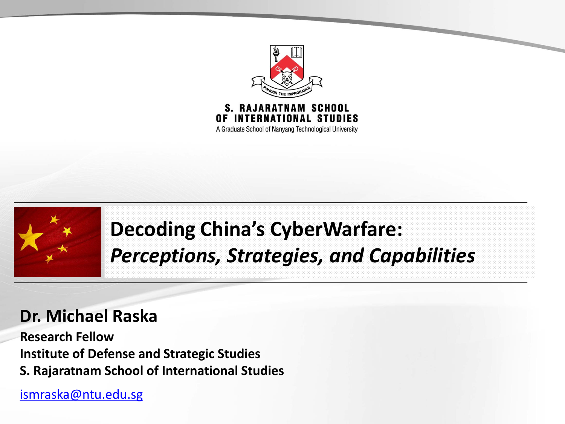

A Graduate School of Nanyang Technological University



### **Decoding China's CyberWarfare:** *Perceptions, Strategies, and Capabilities*

#### **Dr. Michael Raska**

**Research Fellow Institute of Defense and Strategic Studies S. Rajaratnam School of International Studies**

[ismraska@ntu.edu.sg](mailto:ismraska@ntu.edu.sg)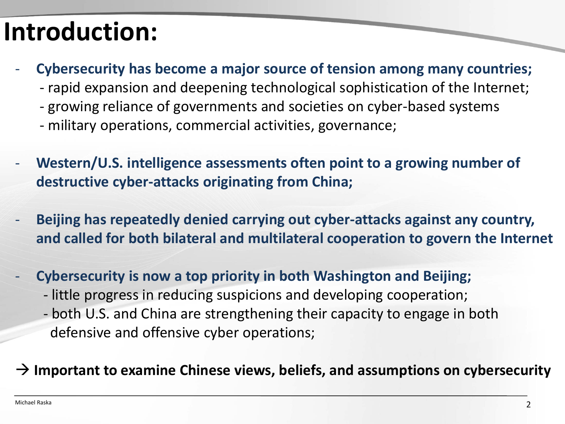## **Introduction:**

- **Cybersecurity has become a major source of tension among many countries;**
	- rapid expansion and deepening technological sophistication of the Internet;
	- growing reliance of governments and societies on cyber-based systems
	- military operations, commercial activities, governance;
- Western/U.S. intelligence assessments often point to a growing number of **destructive cyber-attacks originating from China;**
- **Beijing has repeatedly denied carrying out cyber-attacks against any country, and called for both bilateral and multilateral cooperation to govern the Internet**
- **Cybersecurity is now a top priority in both Washington and Beijing;** - little progress in reducing suspicions and developing cooperation;
	- both U.S. and China are strengthening their capacity to engage in both defensive and offensive cyber operations;

#### **Important to examine Chinese views, beliefs, and assumptions on cybersecurity**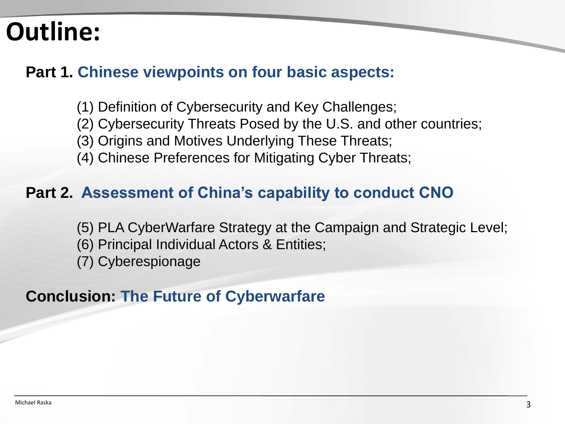### **Outline:**

#### **Part 1. Chinese viewpoints on four basic aspects:**

- (1) Definition of Cybersecurity and Key Challenges;
- (2) Cybersecurity Threats Posed by the U.S. and other countries;
- (3) Origins and Motives Underlying These Threats;
- (4) Chinese Preferences for Mitigating Cyber Threats;

#### **Part 2. Assessment of China's capability to conduct CNO**

- (5) PLA CyberWarfare Strategy at the Campaign and Strategic Level;
- (6) Principal Individual Actors & Entities;
- (7) Cyberespionage

#### **Conclusion: The Future of Cyberwarfare**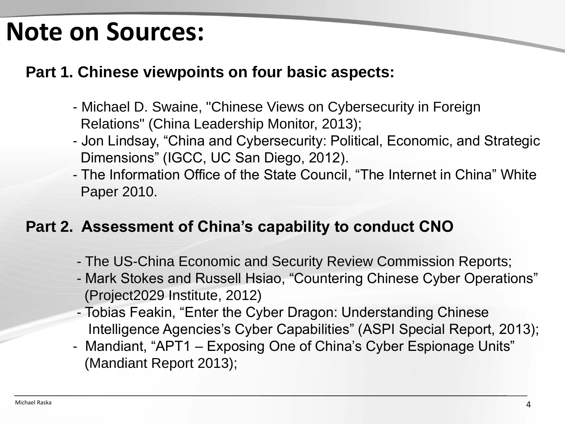### **Note on Sources:**

#### **Part 1. Chinese viewpoints on four basic aspects:**

- Michael D. Swaine, "Chinese Views on Cybersecurity in Foreign Relations" (China Leadership Monitor, 2013);
- Jon Lindsay, "China and Cybersecurity: Political, Economic, and Strategic Dimensions" (IGCC, UC San Diego, 2012).
- The Information Office of the State Council, "The Internet in China" White Paper 2010.

#### **Part 2. Assessment of China's capability to conduct CNO**

- The US-China Economic and Security Review Commission Reports;
- Mark Stokes and Russell Hsiao, "Countering Chinese Cyber Operations" (Project2029 Institute, 2012)
- Tobias Feakin, "Enter the Cyber Dragon: Understanding Chinese Intelligence Agencies's Cyber Capabilities" (ASPI Special Report, 2013);
- Mandiant, "APT1 Exposing One of China's Cyber Espionage Units" (Mandiant Report 2013);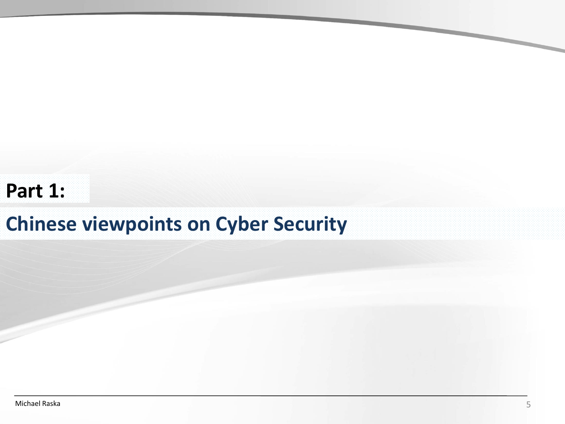#### **Part 1:**

### **Chinese viewpoints on Cyber Security**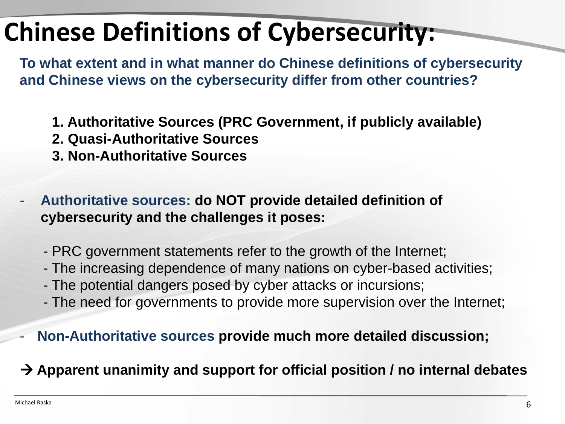# **Chinese Definitions of Cybersecurity:**

**To what extent and in what manner do Chinese definitions of cybersecurity and Chinese views on the cybersecurity differ from other countries?**

- **1. Authoritative Sources (PRC Government, if publicly available)**
- **2. Quasi-Authoritative Sources**
- **3. Non-Authoritative Sources**
- **Authoritative sources: do NOT provide detailed definition of cybersecurity and the challenges it poses:**
	- PRC government statements refer to the growth of the Internet;
	- The increasing dependence of many nations on cyber-based activities;
	- The potential dangers posed by cyber attacks or incursions;
	- The need for governments to provide more supervision over the Internet;
- **Non-Authoritative sources provide much more detailed discussion;**

**Apparent unanimity and support for official position / no internal debates**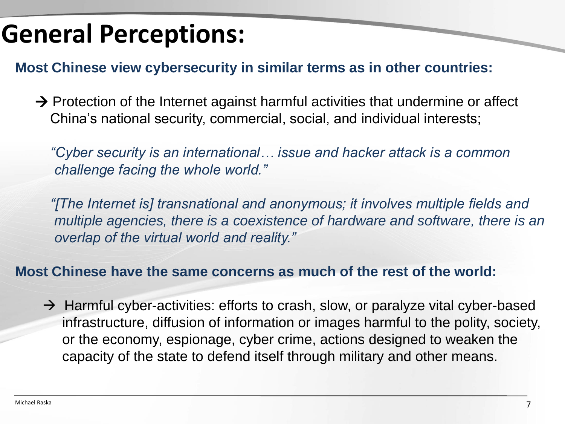### **General Perceptions:**

**Most Chinese view cybersecurity in similar terms as in other countries:**

 $\rightarrow$  Protection of the Internet against harmful activities that undermine or affect China's national security, commercial, social, and individual interests;

*"Cyber security is an international… issue and hacker attack is a common challenge facing the whole world."*

*"[The Internet is] transnational and anonymous; it involves multiple fields and multiple agencies, there is a coexistence of hardware and software, there is an overlap of the virtual world and reality."*

#### **Most Chinese have the same concerns as much of the rest of the world:**

 $\rightarrow$  Harmful cyber-activities: efforts to crash, slow, or paralyze vital cyber-based infrastructure, diffusion of information or images harmful to the polity, society, or the economy, espionage, cyber crime, actions designed to weaken the capacity of the state to defend itself through military and other means.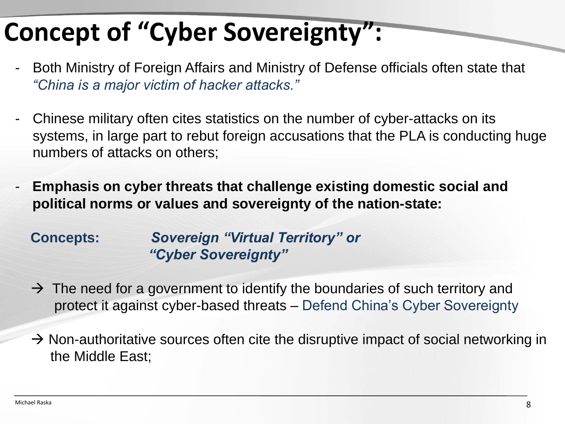# **Concept of "Cyber Sovereignty":**

- Both Ministry of Foreign Affairs and Ministry of Defense officials often state that *"China is a major victim of hacker attacks."*
- Chinese military often cites statistics on the number of cyber-attacks on its systems, in large part to rebut foreign accusations that the PLA is conducting huge numbers of attacks on others;
- **Emphasis on cyber threats that challenge existing domestic social and political norms or values and sovereignty of the nation-state:**

**Concepts:** *Sovereign "Virtual Territory" or "Cyber Sovereignty"*

- $\rightarrow$  The need for a government to identify the boundaries of such territory and protect it against cyber-based threats – Defend China's Cyber Sovereignty
- $\rightarrow$  Non-authoritative sources often cite the disruptive impact of social networking in the Middle East;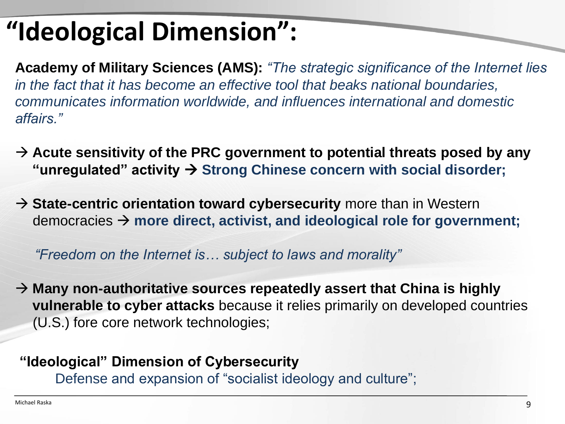# **"Ideological Dimension":**

**Academy of Military Sciences (AMS):** *"The strategic significance of the Internet lies in the fact that it has become an effective tool that beaks national boundaries, communicates information worldwide, and influences international and domestic affairs."*

- → Acute sensitivity of the PRC government to potential threats posed by any "unregulated" activity → Strong Chinese concern with social disorder;
- → State-centric orientation toward cybersecurity more than in Western democracies **more direct, activist, and ideological role for government;**

*"Freedom on the Internet is… subject to laws and morality"*

 **Many non-authoritative sources repeatedly assert that China is highly vulnerable to cyber attacks** because it relies primarily on developed countries (U.S.) fore core network technologies;

#### **"Ideological" Dimension of Cybersecurity**

Defense and expansion of "socialist ideology and culture";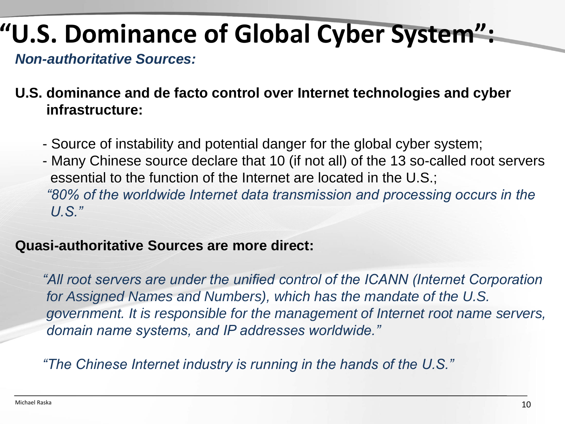# **"U.S. Dominance of Global Cyber System":**

*Non-authoritative Sources:* 

#### **U.S. dominance and de facto control over Internet technologies and cyber infrastructure:**

- Source of instability and potential danger for the global cyber system;
- Many Chinese source declare that 10 (if not all) of the 13 so-called root servers essential to the function of the Internet are located in the U.S.; *"80% of the worldwide Internet data transmission and processing occurs in the U.S."*

#### **Quasi-authoritative Sources are more direct:**

"All root servers are under the unified control of the ICANN (Internet Corporation *for Assigned Names and Numbers), which has the mandate of the U.S. government. It is responsible for the management of Internet root name servers, domain name systems, and IP addresses worldwide."* 

*"The Chinese Internet industry is running in the hands of the U.S."*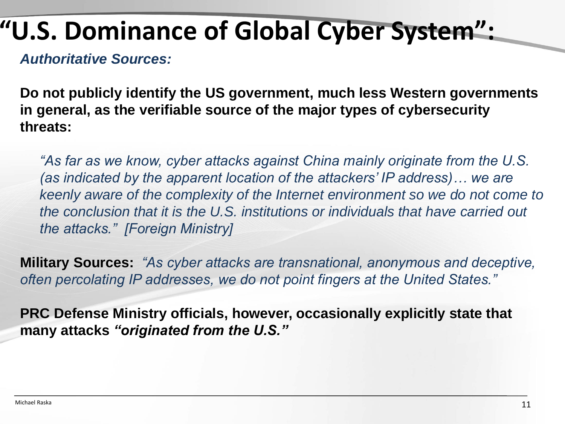## **"U.S. Dominance of Global Cyber System":**

*Authoritative Sources:* 

**Do not publicly identify the US government, much less Western governments in general, as the verifiable source of the major types of cybersecurity threats:**

*"As far as we know, cyber attacks against China mainly originate from the U.S. (as indicated by the apparent location of the attackers' IP address)… we are keenly aware of the complexity of the Internet environment so we do not come to the conclusion that it is the U.S. institutions or individuals that have carried out the attacks." [Foreign Ministry]*

**Military Sources:** *"As cyber attacks are transnational, anonymous and deceptive, often percolating IP addresses, we do not point fingers at the United States."*

**PRC Defense Ministry officials, however, occasionally explicitly state that many attacks** *"originated from the U.S."*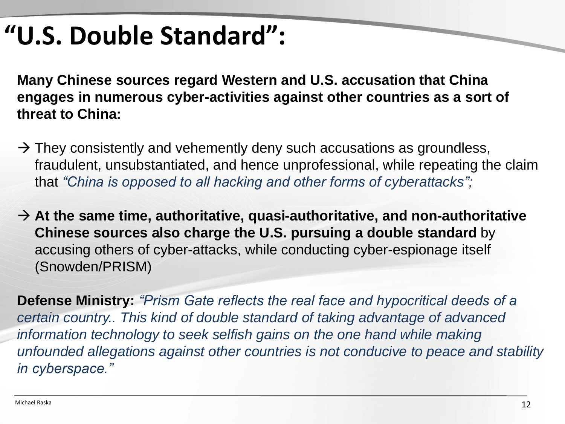## **"U.S. Double Standard":**

**Many Chinese sources regard Western and U.S. accusation that China engages in numerous cyber-activities against other countries as a sort of threat to China:**

- $\rightarrow$  They consistently and vehemently deny such accusations as groundless, fraudulent, unsubstantiated, and hence unprofessional, while repeating the claim that *"China is opposed to all hacking and other forms of cyberattacks";*
- **At the same time, authoritative, quasi-authoritative, and non-authoritative Chinese sources also charge the U.S. pursuing a double standard** by accusing others of cyber-attacks, while conducting cyber-espionage itself (Snowden/PRISM)

**Defense Ministry:** *"Prism Gate reflects the real face and hypocritical deeds of a certain country.. This kind of double standard of taking advantage of advanced information technology to seek selfish gains on the one hand while making unfounded allegations against other countries is not conducive to peace and stability in cyberspace."*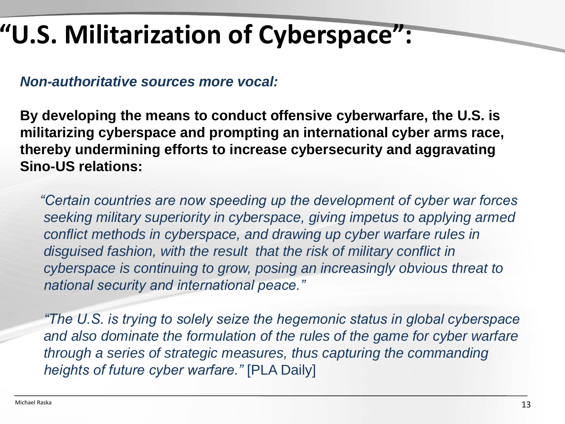# **"U.S. Militarization of Cyberspace":**

*Non-authoritative sources more vocal:*

**By developing the means to conduct offensive cyberwarfare, the U.S. is militarizing cyberspace and prompting an international cyber arms race, thereby undermining efforts to increase cybersecurity and aggravating Sino-US relations:**

*"Certain countries are now speeding up the development of cyber war forces seeking military superiority in cyberspace, giving impetus to applying armed conflict methods in cyberspace, and drawing up cyber warfare rules in disguised fashion, with the result that the risk of military conflict in cyberspace is continuing to grow, posing an increasingly obvious threat to national security and international peace."*

*"The U.S. is trying to solely seize the hegemonic status in global cyberspace and also dominate the formulation of the rules of the game for cyber warfare through a series of strategic measures, thus capturing the commanding heights of future cyber warfare."* [PLA Daily]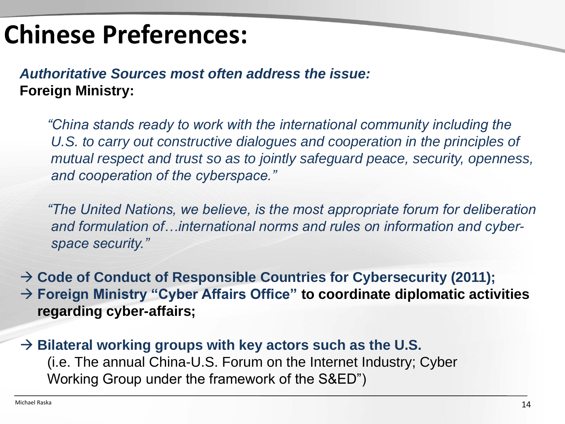## **Chinese Preferences:**

*Authoritative Sources most often address the issue:* **Foreign Ministry:**

*"China stands ready to work with the international community including the*  U.S. to carry out constructive dialogues and cooperation in the principles of *mutual respect and trust so as to jointly safeguard peace, security, openness, and cooperation of the cyberspace."*

*"The United Nations, we believe, is the most appropriate forum for deliberation and formulation of…international norms and rules on information and cyberspace security."*

 **Code of Conduct of Responsible Countries for Cybersecurity (2011); Foreign Ministry "Cyber Affairs Office" to coordinate diplomatic activities regarding cyber-affairs;**

 $\rightarrow$  Bilateral working groups with key actors such as the U.S. (i.e. The annual China-U.S. Forum on the Internet Industry; Cyber Working Group under the framework of the S&ED")

 $\overline{\phantom{a}}$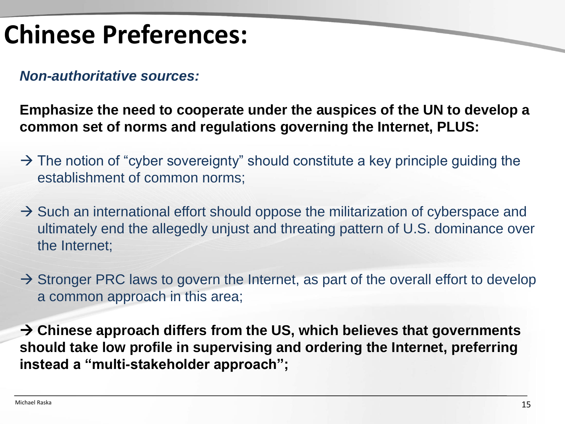## **Chinese Preferences:**

*Non-authoritative sources:*

**Emphasize the need to cooperate under the auspices of the UN to develop a common set of norms and regulations governing the Internet, PLUS:**

- $\rightarrow$  The notion of "cyber sovereignty" should constitute a key principle guiding the establishment of common norms;
- $\rightarrow$  Such an international effort should oppose the militarization of cyberspace and ultimately end the allegedly unjust and threating pattern of U.S. dominance over the Internet;
- $\rightarrow$  Stronger PRC laws to govern the Internet, as part of the overall effort to develop a common approach in this area;

 **Chinese approach differs from the US, which believes that governments should take low profile in supervising and ordering the Internet, preferring instead a "multi-stakeholder approach";**

 $\overline{\phantom{0}}$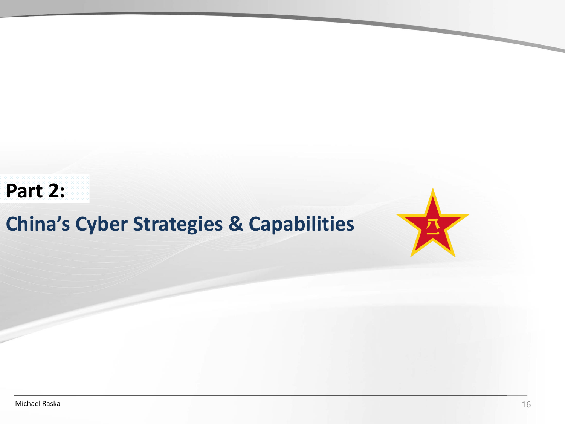#### **Part 2:**

### **China's Cyber Strategies & Capabilities**

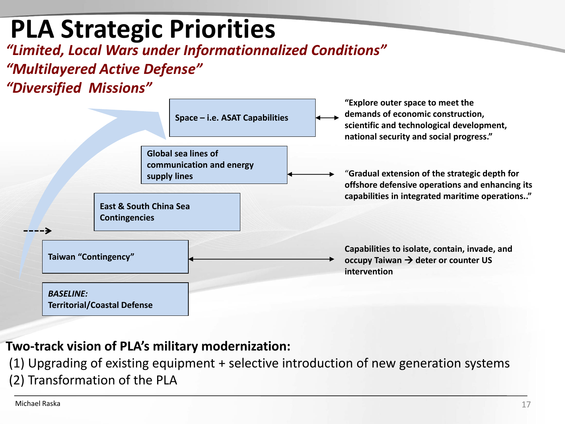## **PLA Strategic Priorities**

*"Limited, Local Wars under Informationnalized Conditions"*

#### *"Multilayered Active Defense"*

#### *"Diversified Missions"*



#### **Two-track vision of PLA's military modernization:**

(1) Upgrading of existing equipment + selective introduction of new generation systems

(2) Transformation of the PLA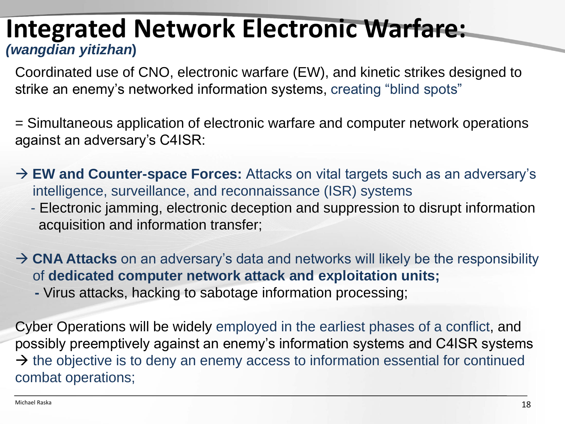### **Integrated Network Electronic Warfare:** *(wangdian yitizhan***)**

Coordinated use of CNO, electronic warfare (EW), and kinetic strikes designed to strike an enemy's networked information systems, creating "blind spots"

= Simultaneous application of electronic warfare and computer network operations against an adversary's C4ISR:

→ **EW and Counter-space Forces:** Attacks on vital targets such as an adversary's intelligence, surveillance, and reconnaissance (ISR) systems

- Electronic jamming, electronic deception and suppression to disrupt information acquisition and information transfer;

→ **CNA Attacks** on an adversary's data and networks will likely be the responsibility of **dedicated computer network attack and exploitation units;**

**-** Virus attacks, hacking to sabotage information processing;

Cyber Operations will be widely employed in the earliest phases of a conflict, and possibly preemptively against an enemy's information systems and C4ISR systems  $\rightarrow$  the objective is to deny an enemy access to information essential for continued combat operations;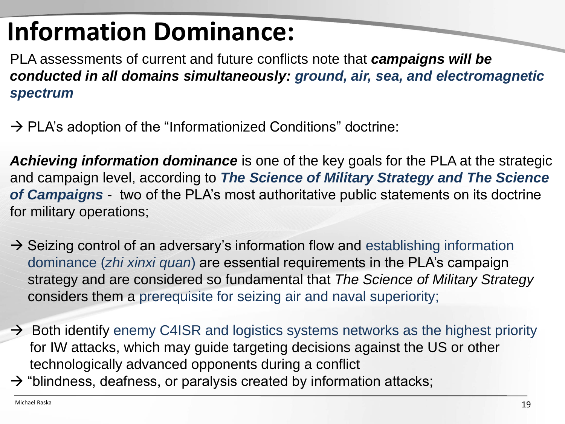# **Information Dominance:**

PLA assessments of current and future conflicts note that *campaigns will be conducted in all domains simultaneously: ground, air, sea, and electromagnetic spectrum* 

 $\rightarrow$  PLA's adoption of the "Informationized Conditions" doctrine:

*Achieving information dominance* is one of the key goals for the PLA at the strategic and campaign level, according to *The Science of Military Strategy and The Science of Campaigns* - two of the PLA's most authoritative public statements on its doctrine for military operations;

- $\rightarrow$  Seizing control of an adversary's information flow and establishing information dominance (*zhi xinxi quan*) are essential requirements in the PLA's campaign strategy and are considered so fundamental that *The Science of Military Strategy*  considers them a prerequisite for seizing air and naval superiority;
- $\rightarrow$  Both identify enemy C4ISR and logistics systems networks as the highest priority for IW attacks, which may guide targeting decisions against the US or other technologically advanced opponents during a conflict
- $\rightarrow$  "blindness, deafness, or paralysis created by information attacks;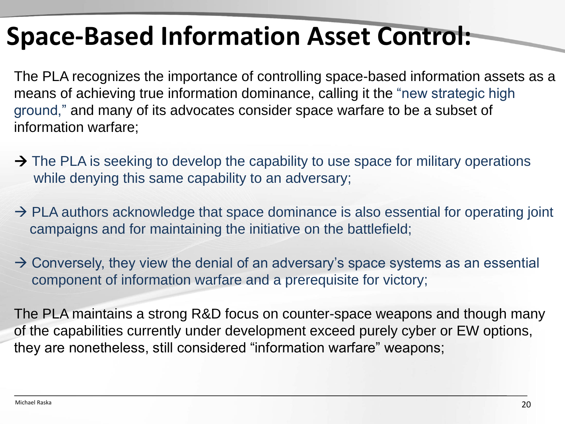## **Space-Based Information Asset Control:**

The PLA recognizes the importance of controlling space-based information assets as a means of achieving true information dominance, calling it the "new strategic high ground," and many of its advocates consider space warfare to be a subset of information warfare;

- $\rightarrow$  The PLA is seeking to develop the capability to use space for military operations while denying this same capability to an adversary;
- $\rightarrow$  PLA authors acknowledge that space dominance is also essential for operating joint campaigns and for maintaining the initiative on the battlefield;
- $\rightarrow$  Conversely, they view the denial of an adversary's space systems as an essential component of information warfare and a prerequisite for victory;

The PLA maintains a strong R&D focus on counter-space weapons and though many of the capabilities currently under development exceed purely cyber or EW options, they are nonetheless, still considered "information warfare" weapons;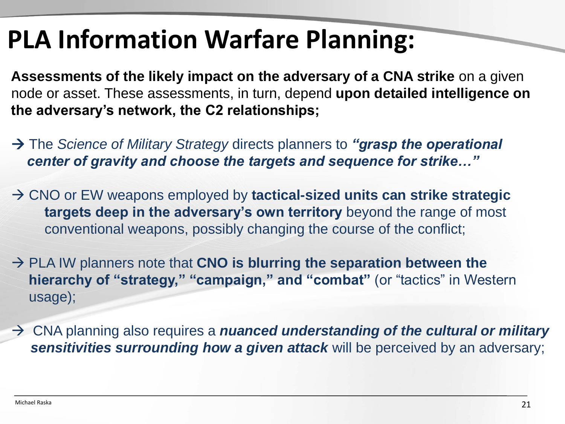## **PLA Information Warfare Planning:**

**Assessments of the likely impact on the adversary of a CNA strike** on a given node or asset. These assessments, in turn, depend **upon detailed intelligence on the adversary's network, the C2 relationships;**

- The *Science of Military Strategy* directs planners to *"grasp the operational center of gravity and choose the targets and sequence for strike…"*
- → CNO or EW weapons employed by tactical-sized units can strike strategic **targets deep in the adversary's own territory** beyond the range of most conventional weapons, possibly changing the course of the conflict;
- → PLA IW planners note that CNO is blurring the separation between the **hierarchy of "strategy," "campaign," and "combat"** (or "tactics" in Western usage);
- CNA planning also requires a *nuanced understanding of the cultural or military sensitivities surrounding how a given attack* will be perceived by an adversary;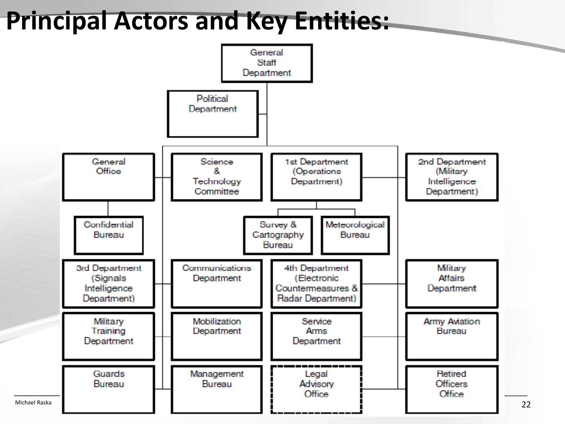### **Principal Actors and Key Entities:**

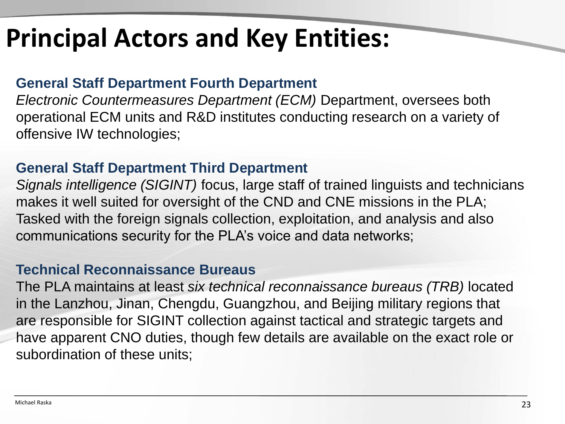## **Principal Actors and Key Entities:**

#### **General Staff Department Fourth Department**

*Electronic Countermeasures Department (ECM)* Department, oversees both operational ECM units and R&D institutes conducting research on a variety of offensive IW technologies;

#### **General Staff Department Third Department**

*Signals intelligence (SIGINT)* focus, large staff of trained linguists and technicians makes it well suited for oversight of the CND and CNE missions in the PLA; Tasked with the foreign signals collection, exploitation, and analysis and also communications security for the PLA's voice and data networks;

#### **Technical Reconnaissance Bureaus**

The PLA maintains at least *six technical reconnaissance bureaus (TRB)* located in the Lanzhou, Jinan, Chengdu, Guangzhou, and Beijing military regions that are responsible for SIGINT collection against tactical and strategic targets and have apparent CNO duties, though few details are available on the exact role or subordination of these units;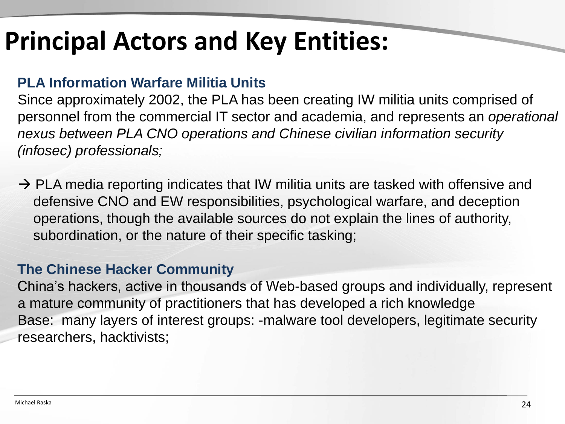## **Principal Actors and Key Entities:**

#### **PLA Information Warfare Militia Units**

Since approximately 2002, the PLA has been creating IW militia units comprised of personnel from the commercial IT sector and academia, and represents an *operational nexus between PLA CNO operations and Chinese civilian information security (infosec) professionals;*

 $\rightarrow$  PLA media reporting indicates that IW militia units are tasked with offensive and defensive CNO and EW responsibilities, psychological warfare, and deception operations, though the available sources do not explain the lines of authority, subordination, or the nature of their specific tasking;

#### **The Chinese Hacker Community**

China's hackers, active in thousands of Web-based groups and individually, represent a mature community of practitioners that has developed a rich knowledge Base: many layers of interest groups: -malware tool developers, legitimate security researchers, hacktivists;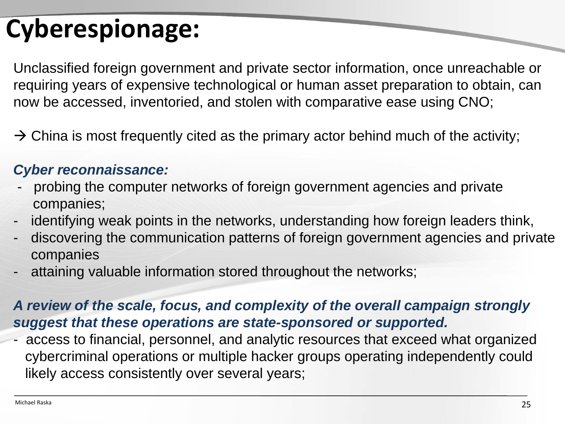# **Cyberespionage:**

Unclassified foreign government and private sector information, once unreachable or requiring years of expensive technological or human asset preparation to obtain, can now be accessed, inventoried, and stolen with comparative ease using CNO;

 $\rightarrow$  China is most frequently cited as the primary actor behind much of the activity;

#### *Cyber reconnaissance:*

- probing the computer networks of foreign government agencies and private companies;
- identifying weak points in the networks, understanding how foreign leaders think,
- discovering the communication patterns of foreign government agencies and private companies
- attaining valuable information stored throughout the networks;

#### *A review of the scale, focus, and complexity of the overall campaign strongly suggest that these operations are state-sponsored or supported.*

access to financial, personnel, and analytic resources that exceed what organized cybercriminal operations or multiple hacker groups operating independently could likely access consistently over several years;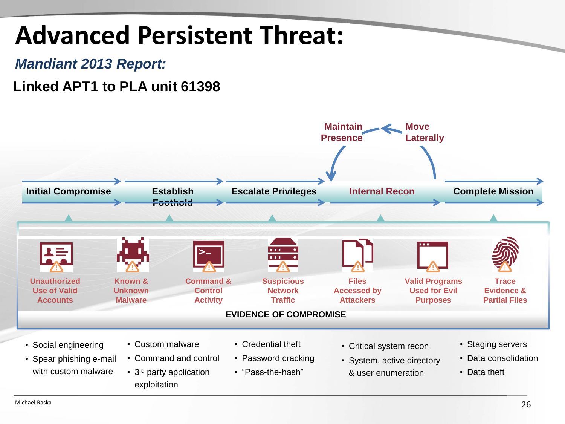## **Advanced Persistent Threat:**

#### *Mandiant 2013 Report:*

#### **Linked APT1 to PLA unit 61398**

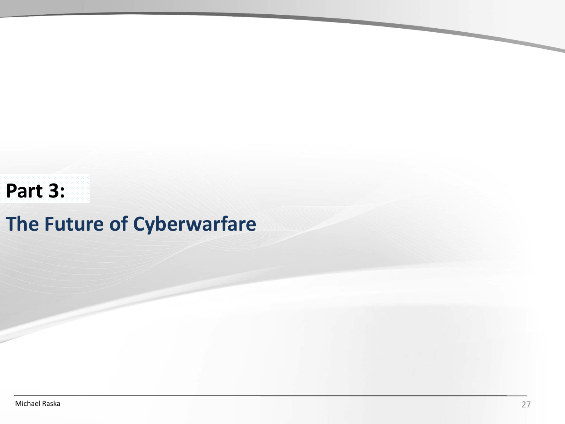### **Part 3:**

### **The Future of Cyberwarfare**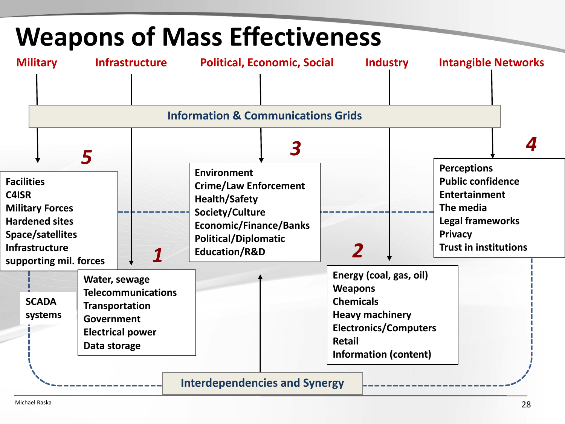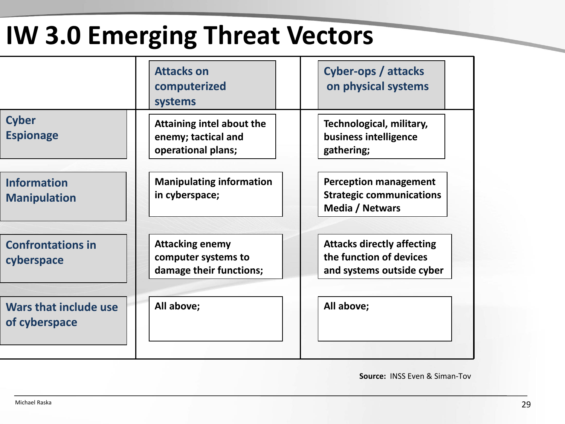# **IW 3.0 Emerging Threat Vectors**

|                                           | <b>Attacks on</b><br>computerized<br>systems                             | <b>Cyber-ops / attacks</b><br>on physical systems                                         |
|-------------------------------------------|--------------------------------------------------------------------------|-------------------------------------------------------------------------------------------|
| <b>Cyber</b><br><b>Espionage</b>          | Attaining intel about the<br>enemy; tactical and<br>operational plans;   | Technological, military,<br>business intelligence<br>gathering;                           |
| <b>Information</b><br><b>Manipulation</b> | <b>Manipulating information</b><br>in cyberspace;                        | <b>Perception management</b><br><b>Strategic communications</b><br>Media / Netwars        |
| <b>Confrontations in</b><br>cyberspace    | <b>Attacking enemy</b><br>computer systems to<br>damage their functions; | <b>Attacks directly affecting</b><br>the function of devices<br>and systems outside cyber |
| Wars that include use<br>of cyberspace    | All above;                                                               | All above;                                                                                |

**Source:** INSS Even & Siman-Tov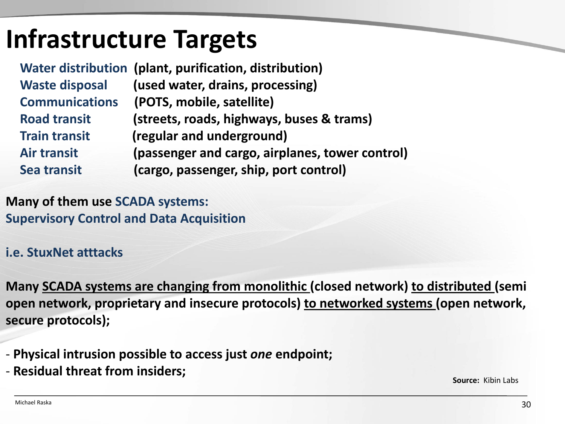## **Infrastructure Targets**

|                       | Water distribution (plant, purification, distribution) |
|-----------------------|--------------------------------------------------------|
| <b>Waste disposal</b> | (used water, drains, processing)                       |
| <b>Communications</b> | (POTS, mobile, satellite)                              |
| <b>Road transit</b>   | (streets, roads, highways, buses & trams)              |
| <b>Train transit</b>  | (regular and underground)                              |
| <b>Air transit</b>    | (passenger and cargo, airplanes, tower control)        |
| Sea transit           | (cargo, passenger, ship, port control)                 |
|                       |                                                        |

**Many of them use SCADA systems: Supervisory Control and Data Acquisition**

#### **i.e. StuxNet atttacks**

**Many SCADA systems are changing from monolithic (closed network) to distributed (semi open network, proprietary and insecure protocols) to networked systems (open network, secure protocols);**

- **Physical intrusion possible to access just** *one* **endpoint;**
- **Residual threat from insiders;**

**Source:** Kibin Labs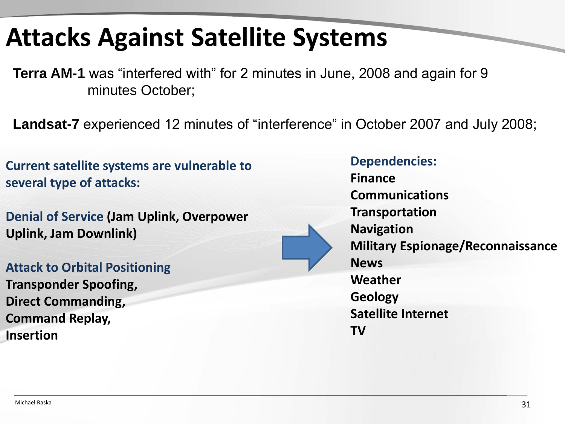## **Attacks Against Satellite Systems**

**Terra AM-1** was "interfered with" for 2 minutes in June, 2008 and again for 9 minutes October;

**Landsat-7** experienced 12 minutes of "interference" in October 2007 and July 2008;

**Current satellite systems are vulnerable to several type of attacks:**

**Denial of Service (Jam Uplink, Overpower Uplink, Jam Downlink)**

**Attack to Orbital Positioning Transponder Spoofing, Direct Commanding, Command Replay, Insertion**



**Dependencies:**

**Finance Communications Transportation Navigation Military Espionage/Reconnaissance News Weather Geology Satellite Internet TV**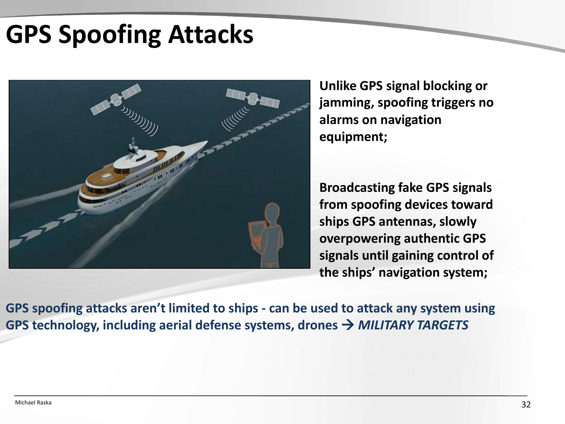## **GPS Spoofing Attacks**



**Unlike GPS signal blocking or jamming, spoofing triggers no alarms on navigation equipment;**

**Broadcasting fake GPS signals from spoofing devices toward ships GPS antennas, slowly overpowering authentic GPS signals until gaining control of the ships' navigation system;**

**GPS spoofing attacks aren't limited to ships - can be used to attack any system using GPS technology, including aerial defense systems, drones**  *MILITARY TARGETS*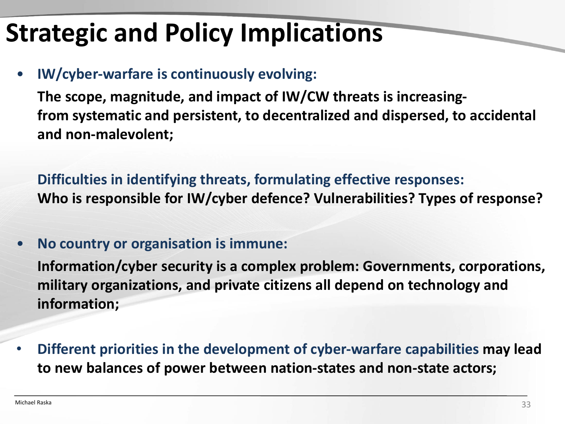# **Strategic and Policy Implications**

#### • **IW/cyber-warfare is continuously evolving:**

**The scope, magnitude, and impact of IW/CW threats is increasingfrom systematic and persistent, to decentralized and dispersed, to accidental and non-malevolent;**

**Difficulties in identifying threats, formulating effective responses: Who is responsible for IW/cyber defence? Vulnerabilities? Types of response?**

#### • **No country or organisation is immune:**

**Information/cyber security is a complex problem: Governments, corporations, military organizations, and private citizens all depend on technology and information;**

• **Different priorities in the development of cyber-warfare capabilities may lead to new balances of power between nation-states and non-state actors;**